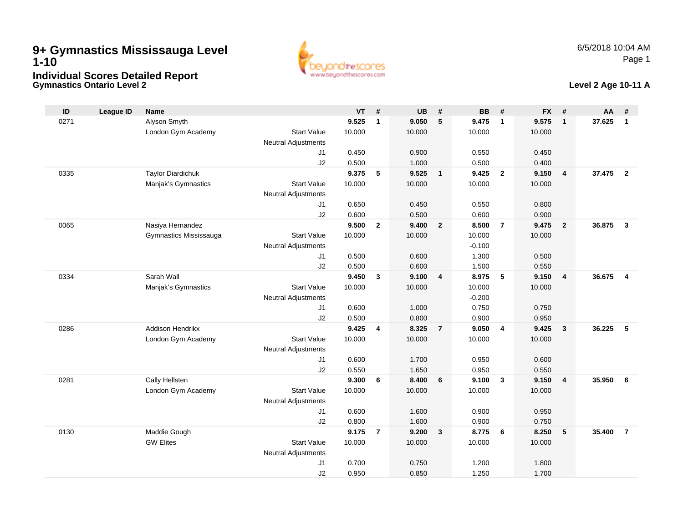## **Gymnastics Ontario Level 29+ Gymnastics Mississauga Level 1-10Individual Scores Detailed Report**





|                                                                                                                                                              | 37.625<br>$\mathbf{1}$            |
|--------------------------------------------------------------------------------------------------------------------------------------------------------------|-----------------------------------|
| Alyson Smyth<br>9.525<br>9.050<br>$5\phantom{.0}$<br>9.475<br>9.575<br>0271<br>$\mathbf{1}$<br>$\overline{\mathbf{1}}$<br>$\overline{1}$                     |                                   |
| <b>Start Value</b><br>10.000<br>London Gym Academy<br>10.000<br>10.000<br>10.000                                                                             |                                   |
| <b>Neutral Adjustments</b>                                                                                                                                   |                                   |
| J1<br>0.450<br>0.900<br>0.550<br>0.450                                                                                                                       |                                   |
| J2<br>0.500<br>1.000<br>0.500<br>0.400                                                                                                                       |                                   |
| <b>Taylor Diardichuk</b><br>9.375<br>9.525<br>9.425<br>0335<br>5<br>$\overline{2}$<br>9.150<br>$\overline{1}$<br>$\overline{4}$                              | 37.475<br>$\overline{2}$          |
| Manjak's Gymnastics<br><b>Start Value</b><br>10.000<br>10.000<br>10.000<br>10.000                                                                            |                                   |
| <b>Neutral Adjustments</b>                                                                                                                                   |                                   |
| 0.650<br>J1<br>0.450<br>0.550<br>0.800<br>0.500<br>0.600                                                                                                     |                                   |
| 0.600<br>J2<br>0.900<br>Nasiya Hernandez<br>9.500<br>9.400<br>8.500<br>$\overline{7}$<br>9.475<br>0065<br>$\overline{2}$<br>$\overline{2}$<br>$\overline{2}$ | 36.875<br>$\mathbf{3}$            |
| 10.000<br>10.000<br>Gymnastics Mississauga<br><b>Start Value</b><br>10.000<br>10.000                                                                         |                                   |
| $-0.100$<br><b>Neutral Adjustments</b>                                                                                                                       |                                   |
| 0.500<br>0.600<br>1.300<br>0.500<br>J1                                                                                                                       |                                   |
| 0.500<br>0.600<br>J2<br>1.500<br>0.550                                                                                                                       |                                   |
| Sarah Wall<br>9.450<br>9.100<br>8.975<br>5<br>9.150<br>0334<br>$\mathbf{3}$<br>$\overline{\mathbf{4}}$<br>$\overline{\mathbf{4}}$                            | 36.675<br>$\overline{\mathbf{4}}$ |
| Manjak's Gymnastics<br><b>Start Value</b><br>10.000<br>10.000<br>10.000<br>10.000                                                                            |                                   |
| <b>Neutral Adjustments</b><br>$-0.200$                                                                                                                       |                                   |
| 0.600<br>1.000<br>0.750<br>0.750<br>J1                                                                                                                       |                                   |
| J2<br>0.800<br>0.500<br>0.900<br>0.950                                                                                                                       |                                   |
| Addison Hendrikx<br>9.425<br>8.325<br>9.050<br>9.425<br>0286<br>$\overline{\mathbf{4}}$<br>$\overline{7}$<br>$\overline{4}$<br>$\mathbf{3}$                  | 5<br>36.225                       |
| <b>Start Value</b><br>10.000<br>10.000<br>London Gym Academy<br>10.000<br>10.000                                                                             |                                   |
| Neutral Adjustments                                                                                                                                          |                                   |
| 0.600<br>1.700<br>0.950<br>0.600<br>J1                                                                                                                       |                                   |
| J2<br>0.550<br>1.650<br>0.950<br>0.550                                                                                                                       |                                   |
| 9.300<br>8.400<br>0281<br>Cally Hellsten<br>6<br>$6\phantom{1}6$<br>9.100<br>$\mathbf{3}$<br>9.150<br>$\overline{\mathbf{4}}$                                | 35.950<br>6                       |
| 10.000<br>10.000<br>London Gym Academy<br><b>Start Value</b><br>10.000<br>10.000                                                                             |                                   |
| <b>Neutral Adjustments</b>                                                                                                                                   |                                   |
| 0.600<br>1.600<br>0.900<br>0.950<br>J1<br>0.800<br>1.600<br>J2<br>0.900<br>0.750                                                                             |                                   |
| 0130<br>Maddie Gough<br>9.175<br>9.200<br>8.775<br>6<br>8.250<br>5<br>$\overline{7}$<br>$\mathbf{3}$                                                         | 35,400<br>$\overline{7}$          |
| <b>GW Elites</b><br><b>Start Value</b><br>10.000<br>10.000<br>10.000<br>10.000                                                                               |                                   |
| <b>Neutral Adjustments</b>                                                                                                                                   |                                   |
| J1<br>0.700<br>0.750<br>1.200<br>1.800                                                                                                                       |                                   |
| J2<br>0.950<br>0.850<br>1.250<br>1.700                                                                                                                       |                                   |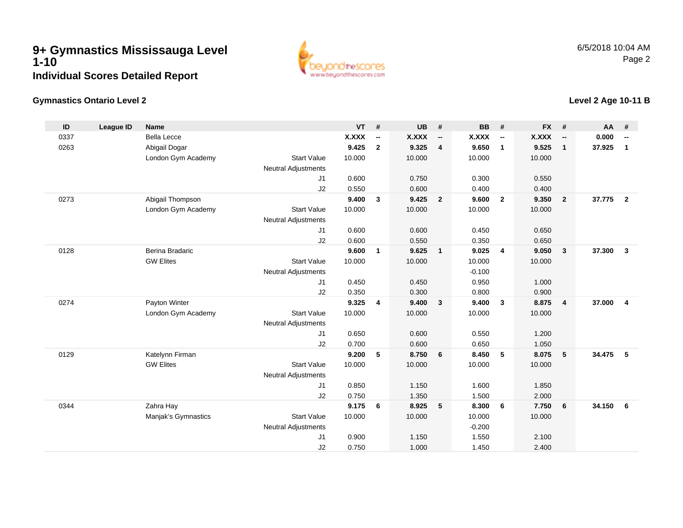### **9+ Gymnastics Mississauga Level1-10Individual Scores Detailed Report**



### **Gymnastics Ontario Level 2**

#### **ID League ID Name VT # UB # BB # FX # AA #** 0337 Bella Lecce **X.XXX -- X.XXX -- X.XXX -- X.XXX -- 0.000 --** 0263 Abigail Dogar **9.425 <sup>2</sup> 9.325 <sup>4</sup> 9.650 <sup>1</sup> 9.525 <sup>1</sup> 37.925 <sup>1</sup>** London Gym Academy Start Valuee 10.000 10.000 10.000 10.000 Neutral Adjustments J1 0.600 0.750 0.300 0.550 J2 0.550 0.600 0.400 0.400 0273 Abigail Thompson **9.400 <sup>3</sup> 9.425 <sup>2</sup> 9.600 <sup>2</sup> 9.350 <sup>2</sup> 37.775 <sup>2</sup>** London Gym Academy Start Valuee 10.000 10.000 10.000 10.000 Neutral Adjustments J1 0.600 0.600 0.450 0.650 J2 0.600 0.550 0.350 0.650 0128 Berina Bradaric **9.600 <sup>1</sup> 9.625 <sup>1</sup> 9.025 <sup>4</sup> 9.050 <sup>3</sup> 37.300 <sup>3</sup>** GW Elites Start Valuee 10.000 10.000 10.000 10.000 Neutral Adjustments $-0.100$ 0.950 J1 0.450 0.450 0.950 1.000 J2 0.350 0.300 0.800 0.900 0274 Payton Winter **9.325 <sup>4</sup> 9.400 <sup>3</sup> 9.400 <sup>3</sup> 8.875 <sup>4</sup> 37.000 <sup>4</sup>** London Gym Academy Start Valuee 10.000 10.000 10.000 10.000 Neutral Adjustments J1 0.650 0.600 0.550 1.200 J2 0.700 0.600 0.650 1.050 0129 Katelynn Firman **9.200 <sup>5</sup> 8.750 <sup>6</sup> 8.450 <sup>5</sup> 8.075 <sup>5</sup> 34.475 <sup>5</sup>** GW Elites Start Valuee 10.000 10.000 10.000 10.000 Neutral Adjustments J1 0.850 1.150 1.600 1.850 J22 0.750 1.350 1.500 2.000 0344 Zahra Hay **9.175 <sup>6</sup> 8.925 <sup>5</sup> 8.300 <sup>6</sup> 7.750 <sup>6</sup> 34.150 <sup>6</sup>** Manjak's Gymnastics Start Valuee 10.000 10.000 10.000 10.000 Neutral Adjustments $-0.200$ 1.550 J1 0.900 1.150 1.550 2.100 J20.750 1.000 1.450 2.400

### **Level 2 Age 10-11 B**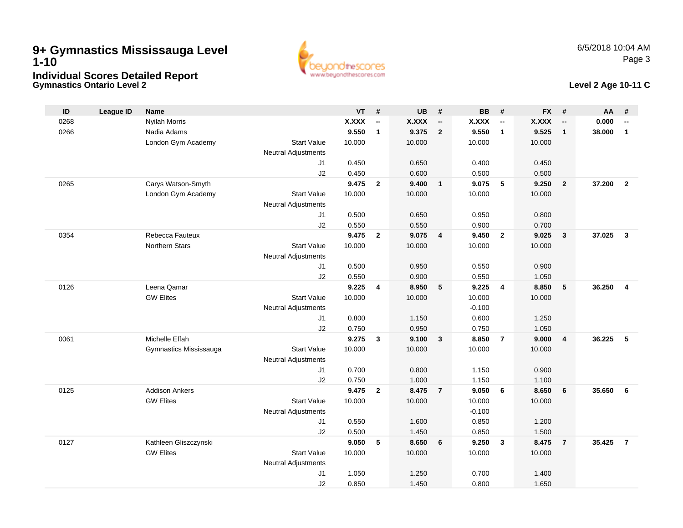## **Gymnastics Ontario Level 29+ Gymnastics Mississauga Level 1-10Individual Scores Detailed Report**





| ID   | League ID | <b>Name</b>            |                                  | <b>VT</b> | #                        | <b>UB</b>    | #                        | <b>BB</b>      | #                        | <b>FX</b>    | #                        | AA     | #              |
|------|-----------|------------------------|----------------------------------|-----------|--------------------------|--------------|--------------------------|----------------|--------------------------|--------------|--------------------------|--------|----------------|
| 0268 |           | <b>Nyilah Morris</b>   |                                  | X.XXX     | $\overline{\phantom{a}}$ | <b>X.XXX</b> | $\overline{\phantom{a}}$ | <b>X.XXX</b>   | $\overline{\phantom{a}}$ | <b>X.XXX</b> | $\overline{\phantom{a}}$ | 0.000  | --             |
| 0266 |           | Nadia Adams            |                                  | 9.550     | $\mathbf{1}$             | 9.375        | $\overline{2}$           | 9.550          | $\mathbf{1}$             | 9.525        | $\mathbf{1}$             | 38,000 | $\mathbf{1}$   |
|      |           | London Gym Academy     | <b>Start Value</b>               | 10.000    |                          | 10.000       |                          | 10.000         |                          | 10.000       |                          |        |                |
|      |           |                        | Neutral Adjustments              |           |                          |              |                          |                |                          |              |                          |        |                |
|      |           |                        | J1                               | 0.450     |                          | 0.650        |                          | 0.400          |                          | 0.450        |                          |        |                |
|      |           |                        | J2                               | 0.450     |                          | 0.600        |                          | 0.500          |                          | 0.500        |                          |        |                |
| 0265 |           | Carys Watson-Smyth     |                                  | 9.475     | $\overline{2}$           | 9.400        | $\overline{1}$           | 9.075          | 5                        | 9.250        | $\overline{2}$           | 37.200 | $\overline{2}$ |
|      |           | London Gym Academy     | <b>Start Value</b>               | 10.000    |                          | 10.000       |                          | 10.000         |                          | 10.000       |                          |        |                |
|      |           |                        | Neutral Adjustments              |           |                          |              |                          |                |                          |              |                          |        |                |
|      |           |                        | J1                               | 0.500     |                          | 0.650        |                          | 0.950          |                          | 0.800        |                          |        |                |
|      |           |                        | J2                               | 0.550     |                          | 0.550        |                          | 0.900          |                          | 0.700        |                          |        |                |
| 0354 |           | Rebecca Fauteux        |                                  | 9.475     | $\mathbf{2}$             | 9.075        | $\overline{\mathbf{4}}$  | 9.450          | $\overline{2}$           | 9.025        | 3                        | 37.025 | $\mathbf{3}$   |
|      |           | <b>Northern Stars</b>  | <b>Start Value</b>               | 10.000    |                          | 10.000       |                          | 10.000         |                          | 10.000       |                          |        |                |
|      |           |                        | <b>Neutral Adjustments</b>       |           |                          |              |                          |                |                          |              |                          |        |                |
|      |           |                        | J1                               | 0.500     |                          | 0.950        |                          | 0.550          |                          | 0.900        |                          |        |                |
|      |           |                        | J2                               | 0.550     |                          | 0.900        |                          | 0.550          |                          | 1.050        |                          |        |                |
| 0126 |           | Leena Qamar            |                                  | 9.225     | 4                        | 8.950        | 5                        | 9.225          | $\overline{4}$           | 8.850        | 5                        | 36.250 | 4              |
|      |           | <b>GW Elites</b>       | <b>Start Value</b>               | 10.000    |                          | 10.000       |                          | 10.000         |                          | 10.000       |                          |        |                |
|      |           |                        | Neutral Adjustments              |           |                          |              |                          | $-0.100$       |                          |              |                          |        |                |
|      |           |                        | J1                               | 0.800     |                          | 1.150        |                          | 0.600          |                          | 1.250        |                          |        |                |
|      |           |                        | J2                               | 0.750     |                          | 0.950        |                          | 0.750          |                          | 1.050        |                          |        |                |
| 0061 |           | Michelle Effah         |                                  | 9.275     | $\mathbf{3}$             | 9.100        | $\overline{\mathbf{3}}$  | 8.850          | $\overline{7}$           | 9.000        | $\overline{4}$           | 36.225 | 5              |
|      |           | Gymnastics Mississauga | <b>Start Value</b>               | 10.000    |                          | 10.000       |                          | 10.000         |                          | 10.000       |                          |        |                |
|      |           |                        | Neutral Adjustments              |           |                          |              |                          |                |                          |              |                          |        |                |
|      |           |                        | J1                               | 0.700     |                          | 0.800        |                          | 1.150          |                          | 0.900        |                          |        |                |
|      |           |                        | J2                               | 0.750     |                          | 1.000        |                          | 1.150          |                          | 1.100        |                          |        |                |
| 0125 |           | <b>Addison Ankers</b>  | <b>Start Value</b>               | 9.475     | $\mathbf{2}$             | 8.475        | $\overline{7}$           | 9.050          | 6                        | 8.650        | 6                        | 35.650 | 6              |
|      |           | <b>GW Elites</b>       |                                  | 10.000    |                          | 10.000       |                          | 10.000         |                          | 10.000       |                          |        |                |
|      |           |                        | <b>Neutral Adjustments</b><br>J1 | 0.550     |                          | 1.600        |                          | $-0.100$       |                          | 1.200        |                          |        |                |
|      |           |                        | J2                               | 0.500     |                          | 1.450        |                          | 0.850          |                          | 1.500        |                          |        |                |
| 0127 |           | Kathleen Gliszczynski  |                                  | 9.050     | 5                        | 8.650        | 6                        | 0.850<br>9.250 | 3                        | 8.475        | $\overline{7}$           | 35.425 | $\overline{7}$ |
|      |           | <b>GW Elites</b>       | <b>Start Value</b>               | 10.000    |                          | 10.000       |                          | 10.000         |                          | 10.000       |                          |        |                |
|      |           |                        | <b>Neutral Adjustments</b>       |           |                          |              |                          |                |                          |              |                          |        |                |
|      |           |                        | J <sub>1</sub>                   | 1.050     |                          | 1.250        |                          | 0.700          |                          | 1.400        |                          |        |                |
|      |           |                        | J2                               | 0.850     |                          | 1.450        |                          | 0.800          |                          | 1.650        |                          |        |                |
|      |           |                        |                                  |           |                          |              |                          |                |                          |              |                          |        |                |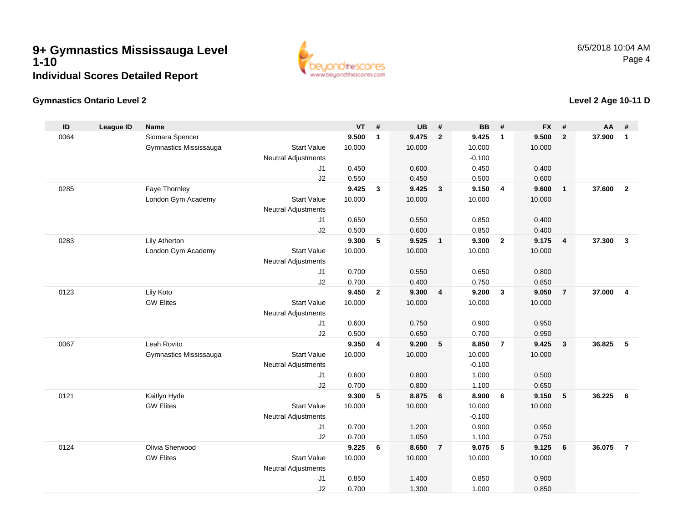### **9+ Gymnastics Mississauga Level1-10Individual Scores Detailed Report**



### **Gymnastics Ontario Level 2**

#### **ID League ID Name VT # UB # BB # FX # AA #** 0064 Siomara Spencer **9.500 <sup>1</sup> 9.475 <sup>2</sup> 9.425 <sup>1</sup> 9.500 <sup>2</sup> 37.900 <sup>1</sup>** Gymnastics Mississauga Start Value 10.000 10.000 10.000 10.000 Neutral Adjustments $-0.100$ 0.450 J1 0.450 0.600 0.450 0.400 J2 0.550 0.450 0.500 0.600 0285 Faye Thornley **9.425 <sup>3</sup> 9.425 <sup>3</sup> 9.150 <sup>4</sup> 9.600 <sup>1</sup> 37.600 <sup>2</sup>** London Gym Academy Start Valuee 10.000 10.000 10.000 10.000 Neutral Adjustments J1 0.650 0.550 0.850 0.400 J2 0.500 0.600 0.850 0.400 0283 Lily Atherton **9.300 <sup>5</sup> 9.525 <sup>1</sup> 9.300 <sup>2</sup> 9.175 <sup>4</sup> 37.300 <sup>3</sup>** London Gym Academy Start Valuee 10.000 10.000 10.000 10.000 Neutral Adjustments J1 0.700 0.550 0.650 0.800 J2 0.700 0.400 0.750 0.850 0123 Lily Koto **9.450 <sup>2</sup> 9.300 <sup>4</sup> 9.200 <sup>3</sup> 9.050 <sup>7</sup> 37.000 <sup>4</sup>** GW Elites Start Valuee 10.000 10.000 10.000 10.000 Neutral Adjustments J1 0.600 0.750 0.900 0.950 J2 0.500 0.650 0.700 0.950 0067 Leah Rovito **9.350 <sup>4</sup> 9.200 <sup>5</sup> 8.850 <sup>7</sup> 9.425 <sup>3</sup> 36.825 <sup>5</sup>** Gymnastics Mississauga Start Value 10.000 10.000 10.000 10.000 Neutral Adjustments $-0.100$ 1.000 J1 0.600 0.800 1.000 0.500 J2 0.700 0.800 1.100 0.650 0121 Kaitlyn Hyde **9.300 <sup>5</sup> 8.875 <sup>6</sup> 8.900 <sup>6</sup> 9.150 <sup>5</sup> 36.225 <sup>6</sup>** GW Elites Start Valuee 10.000 10.000 10.000 10.000 Neutral Adjustments $-0.100$ 0.900 J1 0.700 1.200 0.900 0.950 J2 0.700 1.050 1.100 0.750 0124 Olivia Sherwood **9.225 <sup>6</sup> 8.650 <sup>7</sup> 9.075 <sup>5</sup> 9.125 <sup>6</sup> 36.075 <sup>7</sup>** GW Elites Start Valuee 10.000 10.000 10.000 10.000 Neutral Adjustments J1 0.850 1.400 0.850 0.900 J2

0.700 1.300 1.000 0.850

### **Level 2 Age 10-11 D**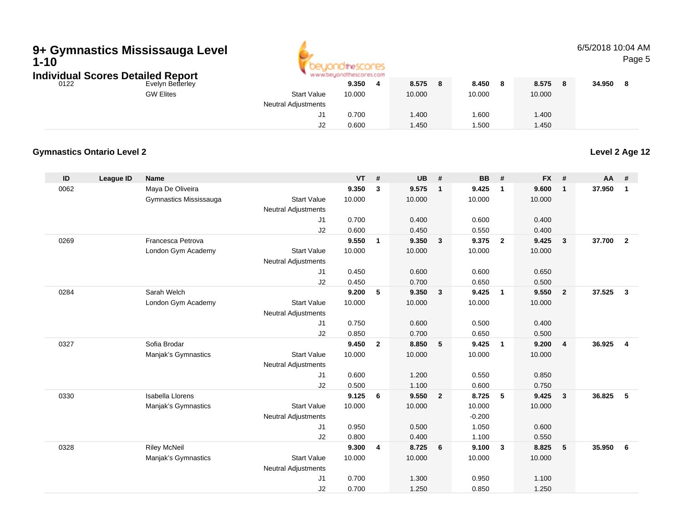# **9+ Gymnastics Mississauga Level 1-10**

**Individual Scores Detailed Report**



### 6/5/2018 10:04 AMPage 5

| dual Scores Detailed Report |                  |                            | www.beyondthescores.com |   |        |        |    |        |        |     |
|-----------------------------|------------------|----------------------------|-------------------------|---|--------|--------|----|--------|--------|-----|
| 0122                        | Evelyn Betterley |                            | 9.350                   | 4 | 8.575  | 8.450  | -8 | 8.575  | 34.950 | - 8 |
|                             | <b>GW Elites</b> | <b>Start Value</b>         | 10.000                  |   | 10.000 | 10.000 |    | 10.000 |        |     |
|                             |                  | <b>Neutral Adjustments</b> |                         |   |        |        |    |        |        |     |
|                             |                  | J1.                        | 0.700                   |   | 1.400  | .600   |    | 1.400  |        |     |
|                             |                  | J2                         | 0.600                   |   | 1.450  | .500   |    | 1.450  |        |     |

### **Gymnastics Ontario Level 2**

**Level 2 Age 12**

| ID   | <b>League ID</b> | <b>Name</b>            |                            | <b>VT</b>      | #              | <b>UB</b>      | #                       | <b>BB</b>      | #                       | <b>FX</b>      | #              | <b>AA</b> | #                       |
|------|------------------|------------------------|----------------------------|----------------|----------------|----------------|-------------------------|----------------|-------------------------|----------------|----------------|-----------|-------------------------|
| 0062 |                  | Maya De Oliveira       |                            | 9.350          | $\mathbf{3}$   | 9.575          | $\overline{1}$          | 9.425          | $\overline{1}$          | 9.600          | $\mathbf{1}$   | 37.950    | $\mathbf{1}$            |
|      |                  | Gymnastics Mississauga | <b>Start Value</b>         | 10.000         |                | 10.000         |                         | 10.000         |                         | 10.000         |                |           |                         |
|      |                  |                        | <b>Neutral Adjustments</b> |                |                |                |                         |                |                         |                |                |           |                         |
|      |                  |                        | J1                         | 0.700          |                | 0.400          |                         | 0.600          |                         | 0.400          |                |           |                         |
|      |                  |                        | J2                         | 0.600          |                | 0.450          |                         | 0.550          |                         | 0.400          |                |           |                         |
| 0269 |                  | Francesca Petrova      |                            | 9.550          | $\mathbf{1}$   | 9.350          | $\mathbf{3}$            | 9.375          | $\overline{\mathbf{2}}$ | 9.425          | $\mathbf{3}$   | 37.700    | $\overline{2}$          |
|      |                  | London Gym Academy     | <b>Start Value</b>         | 10.000         |                | 10.000         |                         | 10.000         |                         | 10.000         |                |           |                         |
|      |                  |                        | Neutral Adjustments        |                |                |                |                         |                |                         |                |                |           |                         |
|      |                  |                        | J1                         | 0.450          |                | 0.600          |                         | 0.600          |                         | 0.650          |                |           |                         |
|      |                  |                        | J2                         | 0.450          |                | 0.700          |                         | 0.650          |                         | 0.500          |                |           |                         |
| 0284 |                  | Sarah Welch            |                            | 9.200          | 5              | 9.350          | $\mathbf{3}$            | 9.425          | $\overline{1}$          | 9.550          | $\overline{2}$ | 37.525    | $\overline{\mathbf{3}}$ |
|      |                  | London Gym Academy     | <b>Start Value</b>         | 10.000         |                | 10.000         |                         | 10.000         |                         | 10.000         |                |           |                         |
|      |                  |                        | <b>Neutral Adjustments</b> |                |                |                |                         |                |                         |                |                |           |                         |
|      |                  |                        | J1                         | 0.750          |                | 0.600          |                         | 0.500          |                         | 0.400          |                |           |                         |
| 0327 |                  | Sofia Brodar           | J2                         | 0.850<br>9.450 | $\overline{2}$ | 0.700<br>8.850 | 5                       | 0.650<br>9.425 | $\overline{1}$          | 0.500<br>9.200 | $\overline{4}$ | 36.925    | $\overline{4}$          |
|      |                  |                        | <b>Start Value</b>         | 10.000         |                | 10.000         |                         | 10.000         |                         | 10.000         |                |           |                         |
|      |                  | Manjak's Gymnastics    | <b>Neutral Adjustments</b> |                |                |                |                         |                |                         |                |                |           |                         |
|      |                  |                        | J1                         | 0.600          |                | 1.200          |                         | 0.550          |                         | 0.850          |                |           |                         |
|      |                  |                        | J2                         | 0.500          |                | 1.100          |                         | 0.600          |                         | 0.750          |                |           |                         |
| 0330 |                  | Isabella Llorens       |                            | 9.125          | 6              | 9.550          | $\overline{\mathbf{2}}$ | 8.725          | $-5$                    | 9.425          | $\mathbf{3}$   | 36.825    | 5                       |
|      |                  | Manjak's Gymnastics    | <b>Start Value</b>         | 10.000         |                | 10.000         |                         | 10.000         |                         | 10.000         |                |           |                         |
|      |                  |                        | Neutral Adjustments        |                |                |                |                         | $-0.200$       |                         |                |                |           |                         |
|      |                  |                        | J1                         | 0.950          |                | 0.500          |                         | 1.050          |                         | 0.600          |                |           |                         |
|      |                  |                        | J2                         | 0.800          |                | 0.400          |                         | 1.100          |                         | 0.550          |                |           |                         |
| 0328 |                  | <b>Riley McNeil</b>    |                            | 9.300          | 4              | 8.725          | $6\overline{6}$         | 9.100          | $\overline{\mathbf{3}}$ | 8.825          | 5              | 35.950    | 6                       |
|      |                  | Manjak's Gymnastics    | <b>Start Value</b>         | 10.000         |                | 10.000         |                         | 10.000         |                         | 10.000         |                |           |                         |
|      |                  |                        | <b>Neutral Adjustments</b> |                |                |                |                         |                |                         |                |                |           |                         |
|      |                  |                        | J1                         | 0.700          |                | 1.300          |                         | 0.950          |                         | 1.100          |                |           |                         |
|      |                  |                        | J2                         | 0.700          |                | 1.250          |                         | 0.850          |                         | 1.250          |                |           |                         |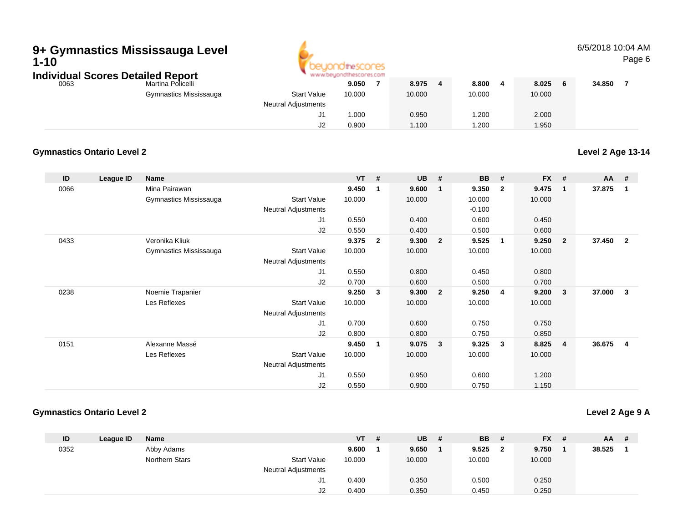## **9+ Gymnastics Mississauga Level 1-10**→ → →<br>Jedinislave LC



### 6/5/2018 10:04 AMPage 6

| Individual Scores Detailed Report |                        |                            | www.beyondthescores.com |        |        |        |        |  |
|-----------------------------------|------------------------|----------------------------|-------------------------|--------|--------|--------|--------|--|
| 0063                              | Martina Policelli      |                            | 9.050                   | 8.975  | 8.800  | 8.025  | 34.850 |  |
|                                   | Gymnastics Mississauga | <b>Start Value</b>         | 10.000                  | 10.000 | 10.000 | 10.000 |        |  |
|                                   |                        | <b>Neutral Adjustments</b> |                         |        |        |        |        |  |
|                                   |                        |                            | 1.000                   | 0.950  | .200   | 2.000  |        |  |
|                                   |                        | J2                         | 0.900                   | 1.100  | .200   | 1.950  |        |  |

### **Gymnastics Ontario Level 2**

**Level 2 Age 13-14**

| ID   | League ID | Name                   |                            | $VT$ # |                | <b>UB</b> | #                       | <b>BB</b> | #              | <b>FX</b> | #              | $AA$ # |                |
|------|-----------|------------------------|----------------------------|--------|----------------|-----------|-------------------------|-----------|----------------|-----------|----------------|--------|----------------|
| 0066 |           | Mina Pairawan          |                            | 9.450  | $\mathbf 1$    | 9.600     | $\overline{1}$          | 9.350     | $\overline{2}$ | 9.475     | $\mathbf{1}$   | 37.875 | -1             |
|      |           | Gymnastics Mississauga | <b>Start Value</b>         | 10.000 |                | 10.000    |                         | 10.000    |                | 10.000    |                |        |                |
|      |           |                        | Neutral Adjustments        |        |                |           |                         | $-0.100$  |                |           |                |        |                |
|      |           |                        | J1                         | 0.550  |                | 0.400     |                         | 0.600     |                | 0.450     |                |        |                |
|      |           |                        | J2                         | 0.550  |                | 0.400     |                         | 0.500     |                | 0.600     |                |        |                |
| 0433 |           | Veronika Kliuk         |                            | 9.375  | $\overline{2}$ | 9.300     | $\overline{\mathbf{2}}$ | 9.525     | -1             | 9.250     | $\overline{2}$ | 37.450 | $\overline{2}$ |
|      |           | Gymnastics Mississauga | <b>Start Value</b>         | 10.000 |                | 10.000    |                         | 10.000    |                | 10.000    |                |        |                |
|      |           |                        | Neutral Adjustments        |        |                |           |                         |           |                |           |                |        |                |
|      |           |                        | J <sub>1</sub>             | 0.550  |                | 0.800     |                         | 0.450     |                | 0.800     |                |        |                |
|      |           |                        | J2                         | 0.700  |                | 0.600     |                         | 0.500     |                | 0.700     |                |        |                |
| 0238 |           | Noemie Trapanier       |                            | 9.250  | 3              | 9.300     | $\overline{\mathbf{2}}$ | 9.250     | -4             | 9.200     | 3              | 37.000 | 3              |
|      |           | Les Reflexes           | <b>Start Value</b>         | 10.000 |                | 10.000    |                         | 10.000    |                | 10.000    |                |        |                |
|      |           |                        | <b>Neutral Adjustments</b> |        |                |           |                         |           |                |           |                |        |                |
|      |           |                        | J1                         | 0.700  |                | 0.600     |                         | 0.750     |                | 0.750     |                |        |                |
|      |           |                        | J2                         | 0.800  |                | 0.800     |                         | 0.750     |                | 0.850     |                |        |                |
| 0151 |           | Alexanne Massé         |                            | 9.450  | 1              | 9.075     | $\overline{\mathbf{3}}$ | 9.325     | $\mathbf{3}$   | 8.825     | 4              | 36.675 | $\overline{4}$ |
|      |           | Les Reflexes           | <b>Start Value</b>         | 10.000 |                | 10.000    |                         | 10.000    |                | 10.000    |                |        |                |
|      |           |                        | Neutral Adjustments        |        |                |           |                         |           |                |           |                |        |                |
|      |           |                        | J1                         | 0.550  |                | 0.950     |                         | 0.600     |                | 1.200     |                |        |                |
|      |           |                        | J2                         | 0.550  |                | 0.900     |                         | 0.750     |                | 1.150     |                |        |                |

### **Gymnastics Ontario Level 2**

**Level 2 Age 9 A**

| ID   | League ID | <b>Name</b>    |                            | <b>VT</b> | -# | UB     | # | BB     | # | $FX$ # | $AA$ # |  |
|------|-----------|----------------|----------------------------|-----------|----|--------|---|--------|---|--------|--------|--|
| 0352 |           | Abby Adams     |                            | 9.600     |    | 9.650  |   | 9.525  | 2 | 9.750  | 38.525 |  |
|      |           | Northern Stars | <b>Start Value</b>         | 10.000    |    | 10.000 |   | 10.000 |   | 10.000 |        |  |
|      |           |                | <b>Neutral Adjustments</b> |           |    |        |   |        |   |        |        |  |
|      |           |                | ال                         | 0.400     |    | 0.350  |   | 0.500  |   | 0.250  |        |  |
|      |           |                | J2                         | 0.400     |    | 0.350  |   | 0.450  |   | 0.250  |        |  |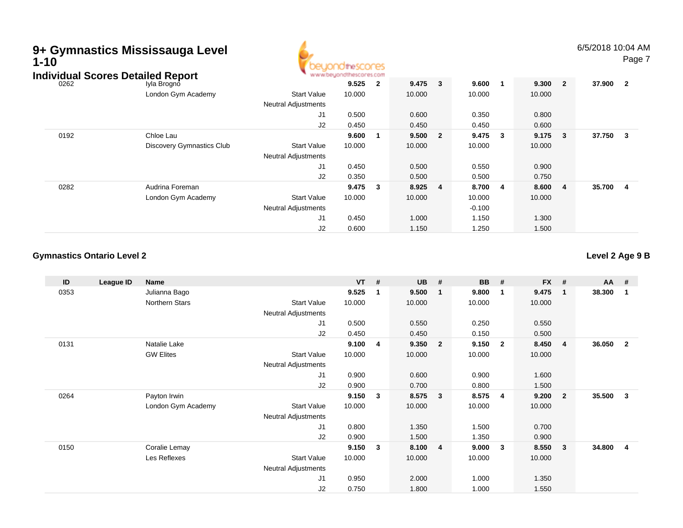# **9+ Gymnastics Mississauga Level 1-10**



6/5/2018 10:04 AM

Page 7

|      | Individual Scores Detailed Report | www.beyondthescores.com    |        |                         |        |                |          |   |         |                         |        |                         |  |  |
|------|-----------------------------------|----------------------------|--------|-------------------------|--------|----------------|----------|---|---------|-------------------------|--------|-------------------------|--|--|
| 0262 | Iyla Brogno                       |                            | 9.525  | $\overline{\mathbf{2}}$ | 9.475  | $\mathbf{3}$   | 9.600    |   | 9.300 2 |                         | 37.900 | $\overline{\mathbf{2}}$ |  |  |
|      | London Gym Academy                | <b>Start Value</b>         | 10.000 |                         | 10.000 |                | 10.000   |   | 10.000  |                         |        |                         |  |  |
|      |                                   | <b>Neutral Adjustments</b> |        |                         |        |                |          |   |         |                         |        |                         |  |  |
|      |                                   | J1                         | 0.500  |                         | 0.600  |                | 0.350    |   | 0.800   |                         |        |                         |  |  |
|      |                                   | J2                         | 0.450  |                         | 0.450  |                | 0.450    |   | 0.600   |                         |        |                         |  |  |
| 0192 | Chloe Lau                         |                            | 9.600  | - 1                     | 9.500  | $\overline{2}$ | 9.475    | 3 | 9.175   | $\overline{\mathbf{3}}$ | 37.750 | $\overline{\mathbf{3}}$ |  |  |
|      | <b>Discovery Gymnastics Club</b>  | <b>Start Value</b>         | 10.000 |                         | 10.000 |                | 10.000   |   | 10.000  |                         |        |                         |  |  |
|      |                                   | <b>Neutral Adjustments</b> |        |                         |        |                |          |   |         |                         |        |                         |  |  |
|      |                                   | J1                         | 0.450  |                         | 0.500  |                | 0.550    |   | 0.900   |                         |        |                         |  |  |
|      |                                   | J2                         | 0.350  |                         | 0.500  |                | 0.500    |   | 0.750   |                         |        |                         |  |  |
| 0282 | Audrina Foreman                   |                            | 9.475  | $\overline{\mathbf{3}}$ | 8.925  | 4              | 8.700    | 4 | 8.600   | - 4                     | 35.700 | $\overline{\mathbf{4}}$ |  |  |
|      | London Gym Academy                | Start Value                | 10.000 |                         | 10.000 |                | 10.000   |   | 10.000  |                         |        |                         |  |  |
|      |                                   | <b>Neutral Adjustments</b> |        |                         |        |                | $-0.100$ |   |         |                         |        |                         |  |  |
|      |                                   | J <sub>1</sub>             | 0.450  |                         | 1.000  |                | 1.150    |   | 1.300   |                         |        |                         |  |  |
|      |                                   | J2                         | 0.600  |                         | 1.150  |                | 1.250    |   | 1.500   |                         |        |                         |  |  |

### **Gymnastics Ontario Level 2**

**Level 2 Age 9 B**

| ID   | League ID | Name               |                            | $VT$ # |   | <b>UB</b> | #              | <b>BB</b> | #                       | FX #   |                         | <b>AA</b> | - #                     |
|------|-----------|--------------------|----------------------------|--------|---|-----------|----------------|-----------|-------------------------|--------|-------------------------|-----------|-------------------------|
| 0353 |           | Julianna Bago      |                            | 9.525  | 1 | 9.500     | $\mathbf{1}$   | 9.800     | $\mathbf{1}$            | 9.475  | $\blacksquare$          | 38.300    | $\mathbf{1}$            |
|      |           | Northern Stars     | <b>Start Value</b>         | 10.000 |   | 10.000    |                | 10.000    |                         | 10.000 |                         |           |                         |
|      |           |                    | <b>Neutral Adjustments</b> |        |   |           |                |           |                         |        |                         |           |                         |
|      |           |                    | J1                         | 0.500  |   | 0.550     |                | 0.250     |                         | 0.550  |                         |           |                         |
|      |           |                    | J2                         | 0.450  |   | 0.450     |                | 0.150     |                         | 0.500  |                         |           |                         |
| 0131 |           | Natalie Lake       |                            | 9.100  | 4 | 9.350     | $\overline{2}$ | 9.150     | $\overline{\mathbf{2}}$ | 8.450  | $\overline{4}$          | 36.050    | $\overline{\mathbf{2}}$ |
|      |           | <b>GW Elites</b>   | <b>Start Value</b>         | 10.000 |   | 10.000    |                | 10.000    |                         | 10.000 |                         |           |                         |
|      |           |                    | <b>Neutral Adjustments</b> |        |   |           |                |           |                         |        |                         |           |                         |
|      |           |                    | J <sub>1</sub>             | 0.900  |   | 0.600     |                | 0.900     |                         | 1.600  |                         |           |                         |
|      |           |                    | J2                         | 0.900  |   | 0.700     |                | 0.800     |                         | 1.500  |                         |           |                         |
| 0264 |           | Payton Irwin       |                            | 9.150  | 3 | 8.575     | $\mathbf{3}$   | 8.575     | $\overline{4}$          | 9.200  | $\overline{\mathbf{2}}$ | 35.500    | -3                      |
|      |           | London Gym Academy | <b>Start Value</b>         | 10.000 |   | 10.000    |                | 10.000    |                         | 10.000 |                         |           |                         |
|      |           |                    | <b>Neutral Adjustments</b> |        |   |           |                |           |                         |        |                         |           |                         |
|      |           |                    | J1                         | 0.800  |   | 1.350     |                | 1.500     |                         | 0.700  |                         |           |                         |
|      |           |                    | J2                         | 0.900  |   | 1.500     |                | 1.350     |                         | 0.900  |                         |           |                         |
| 0150 |           | Coralie Lemay      |                            | 9.150  | 3 | 8.100     | $\overline{4}$ | 9.000     | $\mathbf{3}$            | 8.550  | $\overline{\mathbf{3}}$ | 34.800    | $\overline{\mathbf{4}}$ |
|      |           | Les Reflexes       | <b>Start Value</b>         | 10.000 |   | 10.000    |                | 10.000    |                         | 10.000 |                         |           |                         |
|      |           |                    | <b>Neutral Adjustments</b> |        |   |           |                |           |                         |        |                         |           |                         |
|      |           |                    | J1                         | 0.950  |   | 2.000     |                | 1.000     |                         | 1.350  |                         |           |                         |
|      |           |                    | J2                         | 0.750  |   | 1.800     |                | 1.000     |                         | 1.550  |                         |           |                         |